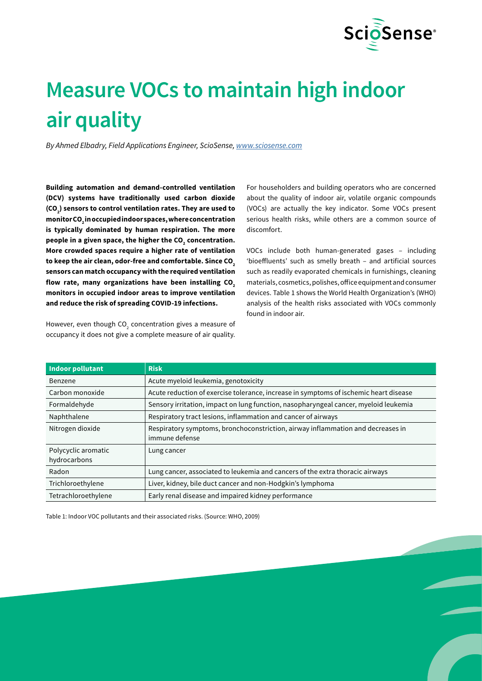

# **Measure VOCs to maintain high indoor air quality**

*By Ahmed Elbadry, Field Applications Engineer, ScioSense, <www.sciosense.com>*

**Building automation and demand-controlled ventilation (DCV) systems have traditionally used carbon dioxide**  (CO<sub>2</sub>) sensors to control ventilation rates. They are used to **monitor CO2 in occupied indoor spaces, where concentration is typically dominated by human respiration. The more**  people in a given space, the higher the CO<sub>2</sub> concentration. **More crowded spaces require a higher rate of ventilation**  to keep the air clean, odor-free and comfortable. Since CO<sub>2</sub> **sensors can match occupancy with the required ventilation**  flow rate, many organizations have been installing CO<sub>2</sub> **monitors in occupied indoor areas to improve ventilation and reduce the risk of spreading COVID-19 infections.**

However, even though CO<sub>2</sub> concentration gives a measure of occupancy it does not give a complete measure of air quality.

For householders and building operators who are concerned about the quality of indoor air, volatile organic compounds (VOCs) are actually the key indicator. Some VOCs present serious health risks, while others are a common source of discomfort.

VOCs include both human-generated gases – including 'bioeffluents' such as smelly breath – and artificial sources such as readily evaporated chemicals in furnishings, cleaning materials, cosmetics, polishes, office equipment and consumer devices. Table 1 shows the World Health Organization's (WHO) analysis of the health risks associated with VOCs commonly found in indoor air.

| <b>Indoor pollutant</b> | <b>Risk</b>                                                                                       |
|-------------------------|---------------------------------------------------------------------------------------------------|
| Benzene                 | Acute myeloid leukemia, genotoxicity                                                              |
| Carbon monoxide         | Acute reduction of exercise tolerance, increase in symptoms of ischemic heart disease             |
| Formaldehyde            | Sensory irritation, impact on lung function, nasopharyngeal cancer, myeloid leukemia              |
| Naphthalene             | Respiratory tract lesions, inflammation and cancer of airways                                     |
| Nitrogen dioxide        | Respiratory symptoms, bronchoconstriction, airway inflammation and decreases in<br>immune defense |
| Polycyclic aromatic     | Lung cancer                                                                                       |
| hydrocarbons            |                                                                                                   |
| Radon                   | Lung cancer, associated to leukemia and cancers of the extra thoracic airways                     |
| Trichloroethylene       | Liver, kidney, bile duct cancer and non-Hodgkin's lymphoma                                        |
| Tetrachloroethylene     | Early renal disease and impaired kidney performance                                               |

Table 1: Indoor VOC pollutants and their associated risks. (Source: WHO, 2009)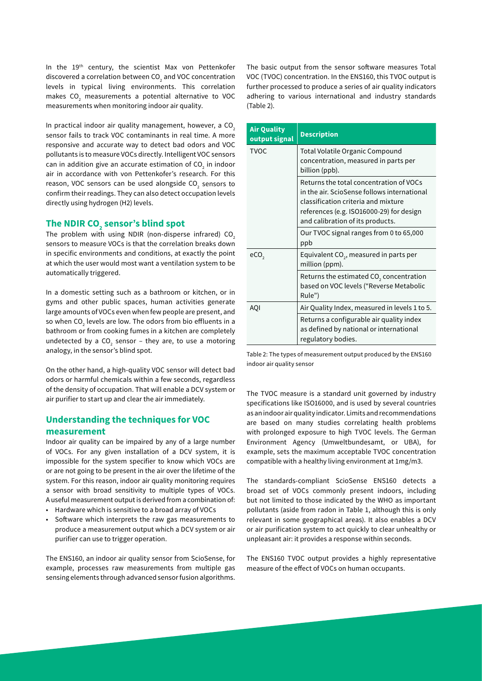In the 19<sup>th</sup> century, the scientist Max von Pettenkofer discovered a correlation between CO $_{_2}$  and VOC concentration levels in typical living environments. This correlation makes CO<sub>2</sub> measurements a potential alternative to VOC measurements when monitoring indoor air quality.

In practical indoor air quality management, however, a  $CO<sub>2</sub>$ sensor fails to track VOC contaminants in real time. A more responsive and accurate way to detect bad odors and VOC pollutants is to measure VOCs directly. Intelligent VOC sensors can in addition give an accurate estimation of CO<sub>2</sub> in indoor air in accordance with von Pettenkofer's research. For this reason, VOC sensors can be used alongside CO<sub>2</sub> sensors to confirm their readings. They can also detect occupation levels directly using hydrogen (H2) levels.

# **The NDIR CO2 sensor's blind spot**

The problem with using NDIR (non-disperse infrared)  $CO<sub>2</sub>$ sensors to measure VOCs is that the correlation breaks down in specific environments and conditions, at exactly the point at which the user would most want a ventilation system to be automatically triggered.

In a domestic setting such as a bathroom or kitchen, or in gyms and other public spaces, human activities generate large amounts of VOCs even when few people are present, and so when CO $_{_{2}}$  levels are low. The odors from bio effluents in a bathroom or from cooking fumes in a kitchen are completely undetected by a CO<sub>2</sub> sensor – they are, to use a motoring analogy, in the sensor's blind spot.

On the other hand, a high-quality VOC sensor will detect bad odors or harmful chemicals within a few seconds, regardless of the density of occupation. That will enable a DCV system or air purifier to start up and clear the air immediately.

## **Understanding the techniques for VOC measurement**

Indoor air quality can be impaired by any of a large number of VOCs. For any given installation of a DCV system, it is impossible for the system specifier to know which VOCs are or are not going to be present in the air over the lifetime of the system. For this reason, indoor air quality monitoring requires a sensor with broad sensitivity to multiple types of VOCs. A useful measurement output is derived from a combination of:

- Hardware which is sensitive to a broad array of VOCs
- Software which interprets the raw gas measurements to produce a measurement output which a DCV system or air purifier can use to trigger operation.

The ENS160, an indoor air quality sensor from ScioSense, for example, processes raw measurements from multiple gas sensing elements through advanced sensor fusion algorithms. The basic output from the sensor software measures Total VOC (TVOC) concentration. In the ENS160, this TVOC output is further processed to produce a series of air quality indicators adhering to various international and industry standards (Table 2).

| <b>Air Quality</b><br>output signal | <b>Description</b>                                                                                                                                                                                            |
|-------------------------------------|---------------------------------------------------------------------------------------------------------------------------------------------------------------------------------------------------------------|
| <b>TVOC</b>                         | Total Volatile Organic Compound<br>concentration, measured in parts per<br>billion (ppb).                                                                                                                     |
|                                     | Returns the total concentration of VOCs<br>in the air. ScioSense follows international<br>classification criteria and mixture<br>references (e.g. ISO16000-29) for design<br>and calibration of its products. |
|                                     | Our TVOC signal ranges from 0 to 65,000<br>ppb                                                                                                                                                                |
| eCO <sub>2</sub>                    | Equivalent CO <sub>2</sub> , measured in parts per<br>million (ppm).                                                                                                                                          |
|                                     | Returns the estimated $CO2$ concentration<br>based on VOC levels ("Reverse Metabolic<br>Rule")                                                                                                                |
| AQI                                 | Air Quality Index, measured in levels 1 to 5.                                                                                                                                                                 |
|                                     | Returns a configurable air quality index<br>as defined by national or international<br>regulatory bodies.                                                                                                     |

Table 2: The types of measurement output produced by the ENS160 indoor air quality sensor

The TVOC measure is a standard unit governed by industry specifications like ISO16000, and is used by several countries as an indoor air quality indicator. Limits and recommendations are based on many studies correlating health problems with prolonged exposure to high TVOC levels. The German Environment Agency (Umweltbundesamt, or UBA), for example, sets the maximum acceptable TVOC concentration compatible with a healthy living environment at 1mg/m3.

The standards-compliant ScioSense ENS160 detects a broad set of VOCs commonly present indoors, including but not limited to those indicated by the WHO as important pollutants (aside from radon in Table 1, although this is only relevant in some geographical areas). It also enables a DCV or air purification system to act quickly to clear unhealthy or unpleasant air: it provides a response within seconds.

The ENS160 TVOC output provides a highly representative measure of the effect of VOCs on human occupants.